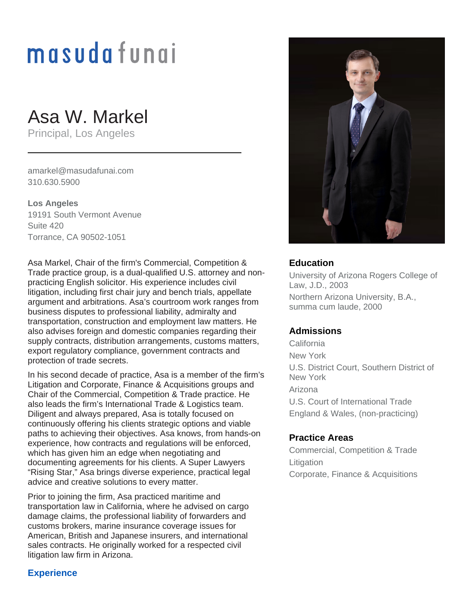# masudafungi

# Asa W. Markel

Principal, Los Angeles

amarkel@masudafunai.com 310.630.5900

**Los Angeles** 19191 South Vermont Avenue Suite 420 Torrance, CA 90502-1051

Asa Markel, Chair of the firm's Commercial, Competition & Trade practice group, is a dual-qualified U.S. attorney and nonpracticing English solicitor. His experience includes civil litigation, including first chair jury and bench trials, appellate argument and arbitrations. Asa's courtroom work ranges from business disputes to professional liability, admiralty and transportation, construction and employment law matters. He also advises foreign and domestic companies regarding their supply contracts, distribution arrangements, customs matters, export regulatory compliance, government contracts and protection of trade secrets.

In his second decade of practice, Asa is a member of the firm's Litigation and Corporate, Finance & Acquisitions groups and Chair of the Commercial, Competition & Trade practice. He also leads the firm's International Trade & Logistics team. Diligent and always prepared, Asa is totally focused on continuously offering his clients strategic options and viable paths to achieving their objectives. Asa knows, from hands-on experience, how contracts and regulations will be enforced, which has given him an edge when negotiating and documenting agreements for his clients. A Super Lawyers "Rising Star," Asa brings diverse experience, practical legal advice and creative solutions to every matter.

Prior to joining the firm, Asa practiced maritime and transportation law in California, where he advised on cargo damage claims, the professional liability of forwarders and customs brokers, marine insurance coverage issues for American, British and Japanese insurers, and international sales contracts. He originally worked for a respected civil litigation law firm in Arizona.



### **Education**

University of Arizona Rogers College of Law, J.D., 2003 Northern Arizona University, B.A., summa cum laude, 2000

# **Admissions**

California New York U.S. District Court, Southern District of New York Arizona U.S. Court of International Trade England & Wales, (non-practicing)

#### **Practice Areas**

Commercial, Competition & Trade **Litigation** Corporate, Finance & Acquisitions

# **Experience**